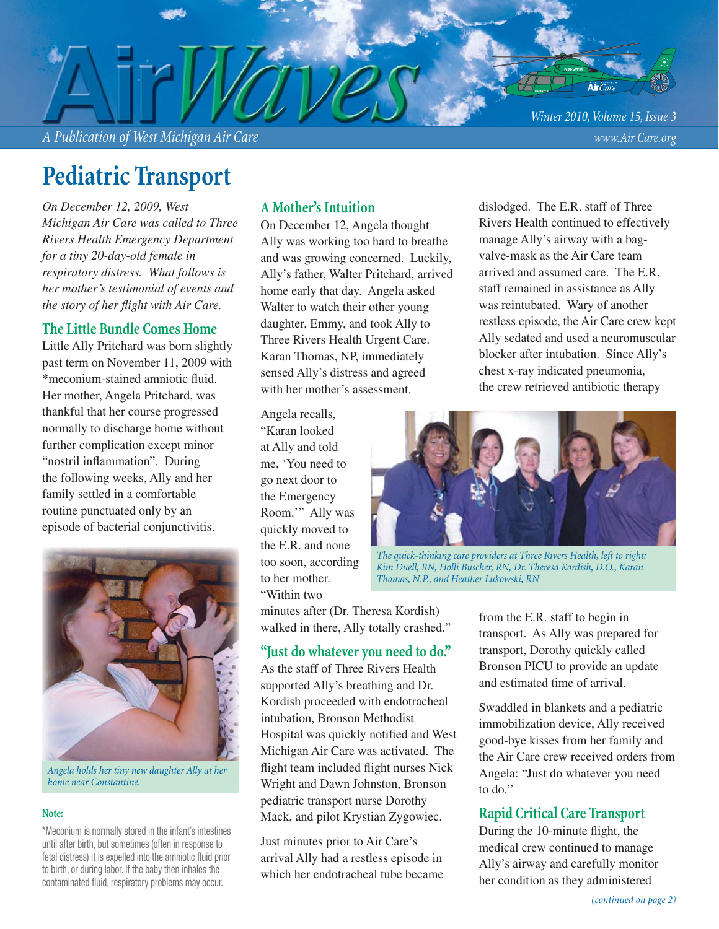*A Publication of West Michigan Air Care www.Air Care.org*

*Winter 2010, Volume 15, Issue 3*

# **Pediatric Transport**

*On December 12, 2009, West Michigan Air Care was called to Three Rivers Health Emergency Department for a tiny 20-day-old female in respiratory distress. What follows is her mother's testimonial of events and the story of her flight with Air Care.* 

#### **The Little Bundle Comes Home**

Little Ally Pritchard was born slightly past term on November 11, 2009 with \*meconium-stained amniotic fluid. Her mother, Angela Pritchard, was thankful that her course progressed normally to discharge home without further complication except minor "nostril inflammation". During the following weeks, Ally and her family settled in a comfortable routine punctuated only by an episode of bacterial conjunctivitis.



*Angela holds her tiny new daughter Ally at her home near Constantine.*

#### **Note:**

\*Meconium is normally stored in the infant's intestines until after birth, but sometimes (often in response to fetal distress) it is expelled into the amniotic fluid prior to birth, or during labor. If the baby then inhales the contaminated fluid, respiratory problems may occur.

#### **A Mother's Intuition**

On December 12, Angela thought Ally was working too hard to breathe and was growing concerned. Luckily, Ally's father, Walter Pritchard, arrived home early that day. Angela asked Walter to watch their other young daughter, Emmy, and took Ally to Three Rivers Health Urgent Care. Karan Thomas, NP, immediately sensed Ally's distress and agreed with her mother's assessment.

Angela recalls, "Karan looked at Ally and told me, 'You need to go next door to the Emergency Room.'" Ally was quickly moved to the E.R. and none too soon, according to her mother. "Within two

minutes after (Dr. Theresa Kordish) walked in there, Ally totally crashed."

### **"Just do whatever you need to do."**

As the staff of Three Rivers Health supported Ally's breathing and Dr. Kordish proceeded with endotracheal intubation, Bronson Methodist Hospital was quickly notified and West Michigan Air Care was activated. The flight team included flight nurses Nick Wright and Dawn Johnston, Bronson pediatric transport nurse Dorothy Mack, and pilot Krystian Zygowiec.

Just minutes prior to Air Care's arrival Ally had a restless episode in which her endotracheal tube became dislodged. The E.R. staff of Three Rivers Health continued to effectively manage Ally's airway with a bagvalve-mask as the Air Care team arrived and assumed care. The E.R. staff remained in assistance as Ally was reintubated. Wary of another restless episode, the Air Care crew kept Ally sedated and used a neuromuscular blocker after intubation. Since Ally's chest x-ray indicated pneumonia, the crew retrieved antibiotic therapy



*The quick-thinking care providers at Three Rivers Health, left to right: Kim Duell, RN, Holli Buscher, RN, Dr. Theresa Kordish, D.O., Karan Thomas, N.P., and Heather Lukowski, RN*

from the E.R. staff to begin in transport. As Ally was prepared for transport, Dorothy quickly called Bronson PICU to provide an update and estimated time of arrival.

Swaddled in blankets and a pediatric immobilization device, Ally received good-bye kisses from her family and the Air Care crew received orders from Angela: "Just do whatever you need to do."

#### **Rapid Critical Care Transport**

During the 10-minute flight, the medical crew continued to manage Ally's airway and carefully monitor her condition as they administered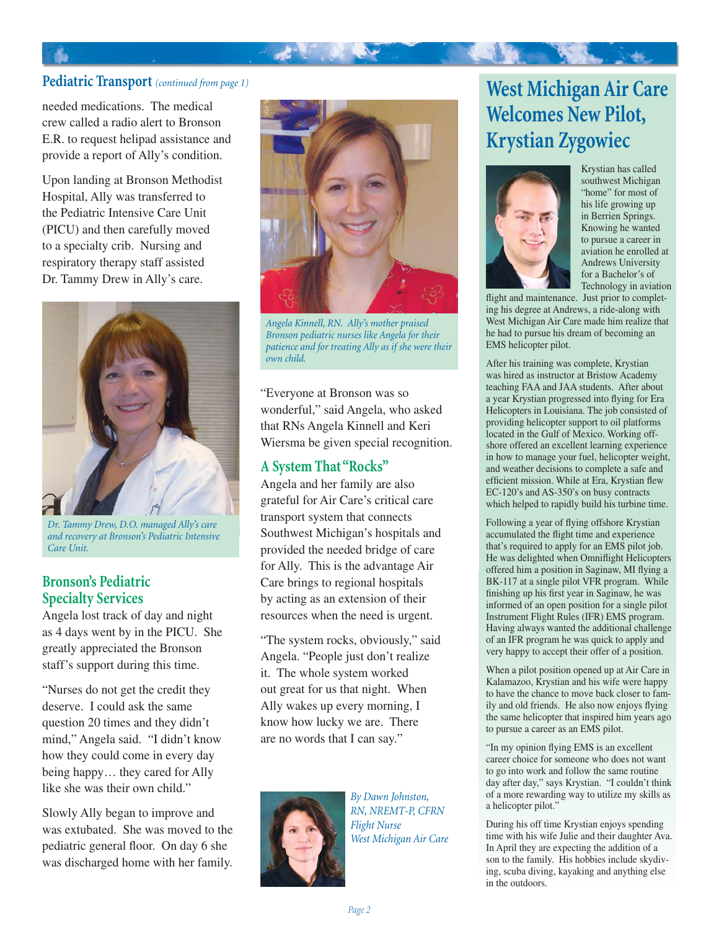#### **Pediatric Transport** *(continued from page 1)*

needed medications. The medical crew called a radio alert to Bronson E.R. to request helipad assistance and provide a report of Ally's condition.

Upon landing at Bronson Methodist Hospital, Ally was transferred to the Pediatric Intensive Care Unit (PICU) and then carefully moved to a specialty crib. Nursing and respiratory therapy staff assisted Dr. Tammy Drew in Ally's care.



*Dr. Tammy Drew, D.O. managed Ally's care and recovery at Bronson's Pediatric Intensive Care Unit.*

#### **Bronson's Pediatric Specialty Services**

Angela lost track of day and night as 4 days went by in the PICU. She greatly appreciated the Bronson staff's support during this time.

"Nurses do not get the credit they deserve. I could ask the same question 20 times and they didn't mind," Angela said. "I didn't know how they could come in every day being happy… they cared for Ally like she was their own child."

Slowly Ally began to improve and was extubated. She was moved to the pediatric general floor. On day 6 she was discharged home with her family.



 $\mathcal{L}^{\mathcal{R}}$ 

*Angela Kinnell, RN. Ally's mother praised Bronson pediatric nurses like Angela for their patience and for treating Ally as if she were their own child.*

"Everyone at Bronson was so wonderful," said Angela, who asked that RNs Angela Kinnell and Keri Wiersma be given special recognition.

### **A System That "Rocks"**

Angela and her family are also grateful for Air Care's critical care transport system that connects Southwest Michigan's hospitals and provided the needed bridge of care for Ally. This is the advantage Air Care brings to regional hospitals by acting as an extension of their resources when the need is urgent.

"The system rocks, obviously," said Angela. "People just don't realize it. The whole system worked out great for us that night. When Ally wakes up every morning, I know how lucky we are. There are no words that I can say."



*By Dawn Johnston, RN, NREMT-P, CFRN Flight Nurse West Michigan Air Care*

## **West Michigan Air Care Welcomes New Pilot, Krystian Zygowiec**



Krystian has called southwest Michigan "home" for most of his life growing up in Berrien Springs. Knowing he wanted to pursue a career in aviation he enrolled at Andrews University for a Bachelor's of Technology in aviation

flight and maintenance. Just prior to completing his degree at Andrews, a ride-along with West Michigan Air Care made him realize that he had to pursue his dream of becoming an EMS helicopter pilot.

After his training was complete, Krystian was hired as instructor at Bristow Academy teaching FAA and JAA students. After about a year Krystian progressed into flying for Era Helicopters in Louisiana. The job consisted of providing helicopter support to oil platforms located in the Gulf of Mexico. Working offshore offered an excellent learning experience in how to manage your fuel, helicopter weight, and weather decisions to complete a safe and efficient mission. While at Era, Krystian flew EC-120's and AS-350's on busy contracts which helped to rapidly build his turbine time.

Following a year of flying offshore Krystian accumulated the flight time and experience that's required to apply for an EMS pilot job. He was delighted when Omniflight Helicopters offered him a position in Saginaw, MI flying a BK-117 at a single pilot VFR program. While finishing up his first year in Saginaw, he was informed of an open position for a single pilot Instrument Flight Rules (IFR) EMS program. Having always wanted the additional challenge of an IFR program he was quick to apply and very happy to accept their offer of a position.

When a pilot position opened up at Air Care in Kalamazoo, Krystian and his wife were happy to have the chance to move back closer to family and old friends. He also now enjoys flying the same helicopter that inspired him years ago to pursue a career as an EMS pilot.

"In my opinion flying EMS is an excellent career choice for someone who does not want to go into work and follow the same routine day after day," says Krystian. "I couldn't think of a more rewarding way to utilize my skills as a helicopter pilot."

During his off time Krystian enjoys spending time with his wife Julie and their daughter Ava. In April they are expecting the addition of a son to the family. His hobbies include skydiving, scuba diving, kayaking and anything else in the outdoors.

*Page 2*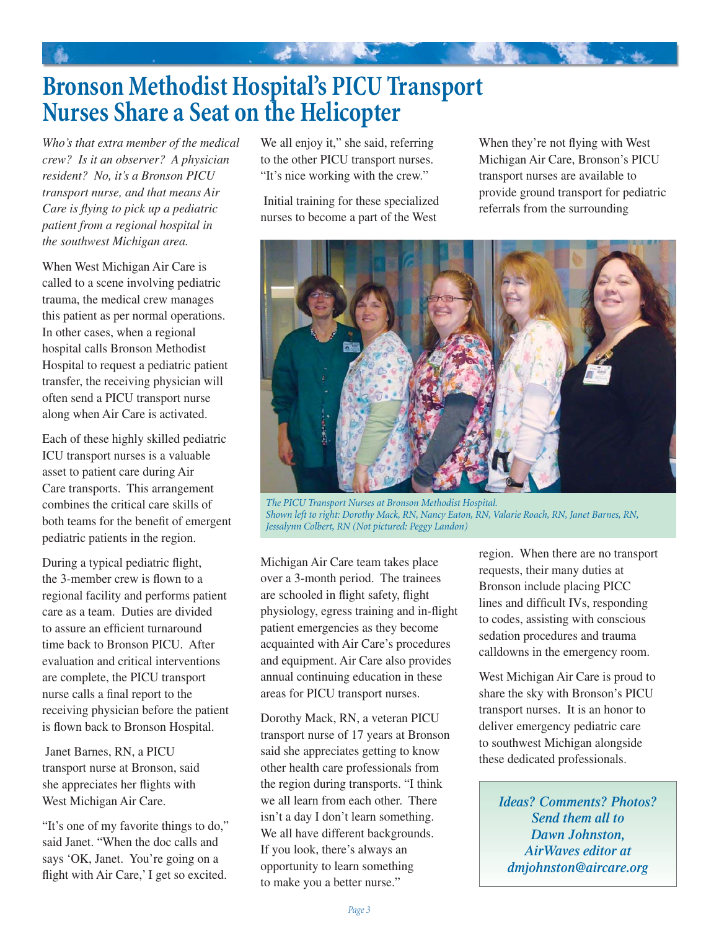## **Bronson Methodist Hospital's PICU Transport Nurses Share a Seat on the Helicopter**

*Who's that extra member of the medical crew? Is it an observer? A physician resident? No, it's a Bronson PICU transport nurse, and that means Air Care is flying to pick up a pediatric patient from a regional hospital in the southwest Michigan area.* 

When West Michigan Air Care is called to a scene involving pediatric trauma, the medical crew manages this patient as per normal operations. In other cases, when a regional hospital calls Bronson Methodist Hospital to request a pediatric patient transfer, the receiving physician will often send a PICU transport nurse along when Air Care is activated.

Each of these highly skilled pediatric ICU transport nurses is a valuable asset to patient care during Air Care transports. This arrangement combines the critical care skills of both teams for the benefit of emergent pediatric patients in the region.

During a typical pediatric flight, the 3-member crew is flown to a regional facility and performs patient care as a team. Duties are divided to assure an efficient turnaround time back to Bronson PICU. After evaluation and critical interventions are complete, the PICU transport nurse calls a final report to the receiving physician before the patient is flown back to Bronson Hospital.

 Janet Barnes, RN, a PICU transport nurse at Bronson, said she appreciates her flights with West Michigan Air Care.

"It's one of my favorite things to do," said Janet. "When the doc calls and says 'OK, Janet. You're going on a flight with Air Care,' I get so excited. We all enjoy it," she said, referring to the other PICU transport nurses. "It's nice working with the crew."

 Initial training for these specialized nurses to become a part of the West

When they're not flying with West Michigan Air Care, Bronson's PICU transport nurses are available to provide ground transport for pediatric referrals from the surrounding



*The PICU Transport Nurses at Bronson Methodist Hospital. Shown left to right: Dorothy Mack, RN, Nancy Eaton, RN, Valarie Roach, RN, Janet Barnes, RN, Jessalynn Colbert, RN (Not pictured: Peggy Landon)*

Michigan Air Care team takes place over a 3-month period. The trainees are schooled in flight safety, flight physiology, egress training and in-flight patient emergencies as they become acquainted with Air Care's procedures and equipment. Air Care also provides annual continuing education in these areas for PICU transport nurses.

Dorothy Mack, RN, a veteran PICU transport nurse of 17 years at Bronson said she appreciates getting to know other health care professionals from the region during transports. "I think we all learn from each other. There isn't a day I don't learn something. We all have different backgrounds. If you look, there's always an opportunity to learn something to make you a better nurse."

region. When there are no transport requests, their many duties at Bronson include placing PICC lines and difficult IVs, responding to codes, assisting with conscious sedation procedures and trauma calldowns in the emergency room.

West Michigan Air Care is proud to share the sky with Bronson's PICU transport nurses. It is an honor to deliver emergency pediatric care to southwest Michigan alongside these dedicated professionals.

*Ideas? Comments? Photos? Send them all to Dawn Johnston, AirWaves editor at dmjohnston@aircare.org*